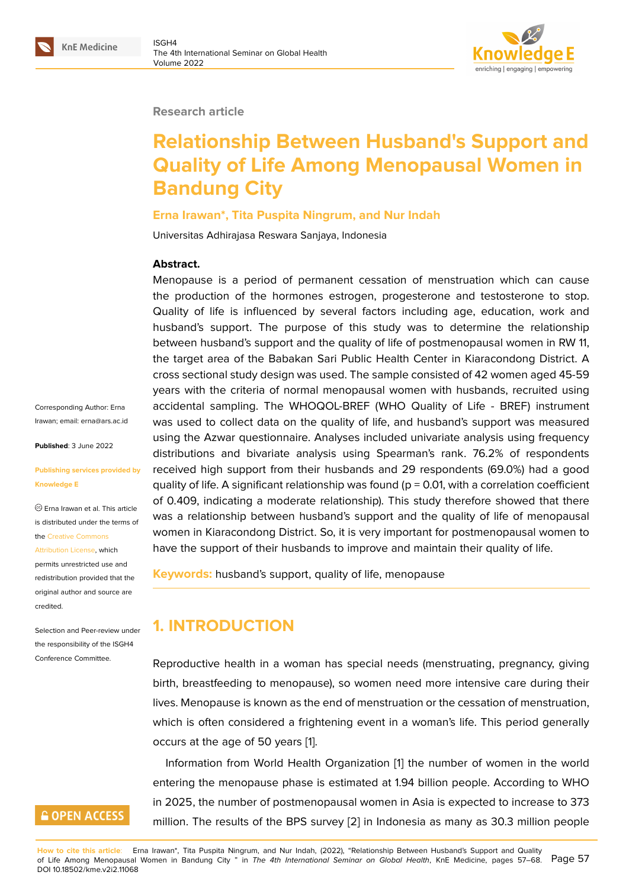### **Research article**

# **Relationship Between Husband's Support and Quality of Life Among Menopausal Women in Bandung City**

### **Erna Irawan\*, Tita Puspita Ningrum, and Nur Indah**

Universitas Adhirajasa Reswara Sanjaya, Indonesia

### **Abstract.**

Menopause is a period of permanent cessation of menstruation which can cause the production of the hormones estrogen, progesterone and testosterone to stop. Quality of life is influenced by several factors including age, education, work and husband's support. The purpose of this study was to determine the relationship between husband's support and the quality of life of postmenopausal women in RW 11, the target area of the Babakan Sari Public Health Center in Kiaracondong District. A cross sectional study design was used. The sample consisted of 42 women aged 45-59 years with the criteria of normal menopausal women with husbands, recruited using accidental sampling. The WHOQOL-BREF (WHO Quality of Life - BREF) instrument was used to collect data on the quality of life, and husband's support was measured using the Azwar questionnaire. Analyses included univariate analysis using frequency distributions and bivariate analysis using Spearman's rank. 76.2% of respondents received high support from their husbands and 29 respondents (69.0%) had a good quality of life. A significant relationship was found ( $p = 0.01$ , with a correlation coefficient of 0.409, indicating a moderate relationship). This study therefore showed that there was a relationship between husband's support and the quality of life of menopausal women in Kiaracondong District. So, it is very important for postmenopausal women to have the support of their husbands to improve and maintain their quality of life.

**Keywords:** husband's support, quality of life, menopause

# **1. INTRODUCTION**

Reproductive health in a woman has special needs (menstruating, pregnancy, giving birth, breastfeeding to menopause), so women need more intensive care during their lives. Menopause is known as the end of menstruation or the cessation of menstruation, which is often considered a frightening event in a woman's life. This period generally occurs at the age of 50 years [1].

Information from World Health Organization [1] the number of women in the world entering the menopause phase is estimated at 1.94 billion people. According to WHO in 2025, the number of postm[en](#page-10-0)opausal women in Asia is expected to increase to 373 million. The results of the BPS survey [2] in Ind[on](#page-10-0)esia as many as 30.3 million people

Corresponding Author: Erna Irawan; email: erna@ars.ac.id

**Published**: 3 June 2022

#### **Publishing se[rvices provided](mailto:erna@ars.ac.id) by Knowledge E**

Erna Irawan et al. This article is distributed under the terms of the Creative Commons Attribution License, which

permits unrestricted use and redistribution provided that the orig[inal author and sou](https://creativecommons.org/licenses/by/4.0/)rce are [credited.](https://creativecommons.org/licenses/by/4.0/)

Selection and Peer-review under the responsibility of the ISGH4 Conference Committee.

# **GOPEN ACCESS**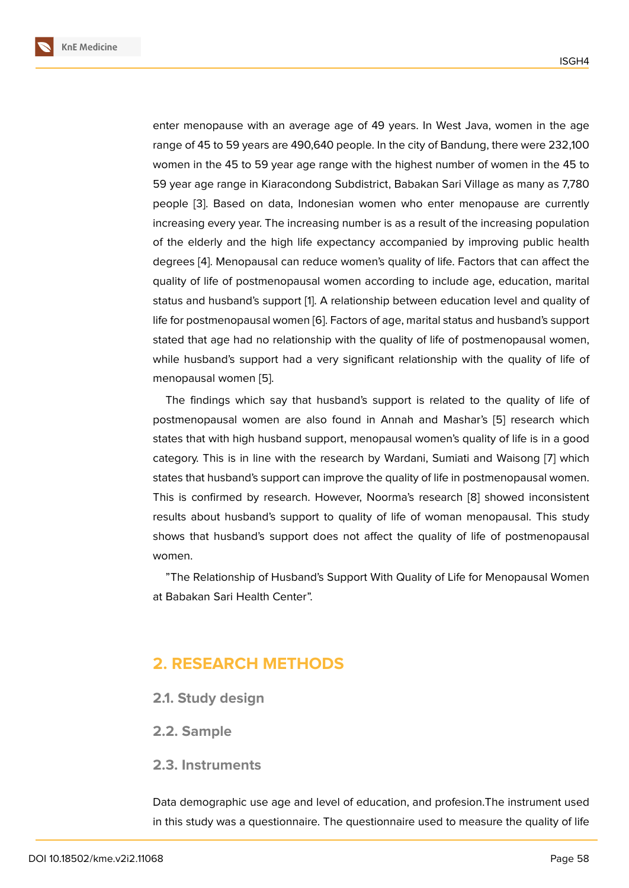enter menopause with an average age of 49 years. In West Java, women in the age range of 45 to 59 years are 490,640 people. In the city of Bandung, there were 232,100 women in the 45 to 59 year age range with the highest number of women in the 45 to 59 year age range in Kiaracondong Subdistrict, Babakan Sari Village as many as 7,780 people [3]. Based on data, Indonesian women who enter menopause are currently increasing every year. The increasing number is as a result of the increasing population of the elderly and the high life expectancy accompanied by improving public health degrees [\[4](#page-10-1)]. Menopausal can reduce women's quality of life. Factors that can affect the quality of life of postmenopausal women according to include age, education, marital status and husband's support [1]. A relationship between education level and quality of life for po[st](#page-10-2)menopausal women [6]. Factors of age, marital status and husband's support stated that age had no relationship with the quality of life of postmenopausal women, while husband's support had [a](#page-10-0) very significant relationship with the quality of life of menopausal women [5].

The findings which say that husband's support is related to the quality of life of postmenopausal women are also found in Annah and Mashar's [5] research which states that with high [hu](#page-10-3)sband support, menopausal women's quality of life is in a good category. This is in line with the research by Wardani, Sumiati and Waisong [7] which states that husband's support can improve the quality of life in postm[en](#page-10-3)opausal women. This is confirmed by research. However, Noorma's research [8] showed inconsistent results about husband's support to quality of life of woman menopausal. T[his](#page-10-4) study shows that husband's support does not affect the quality of life of postmenopausal women.

"The Relationship of Husband's Support With Quality of Life for Menopausal Women at Babakan Sari Health Center".

# **2. RESEARCH METHODS**

- **2.1. Study design**
- **2.2. Sample**

### **2.3. Instruments**

Data demographic use age and level of education, and profesion.The instrument used in this study was a questionnaire. The questionnaire used to measure the quality of life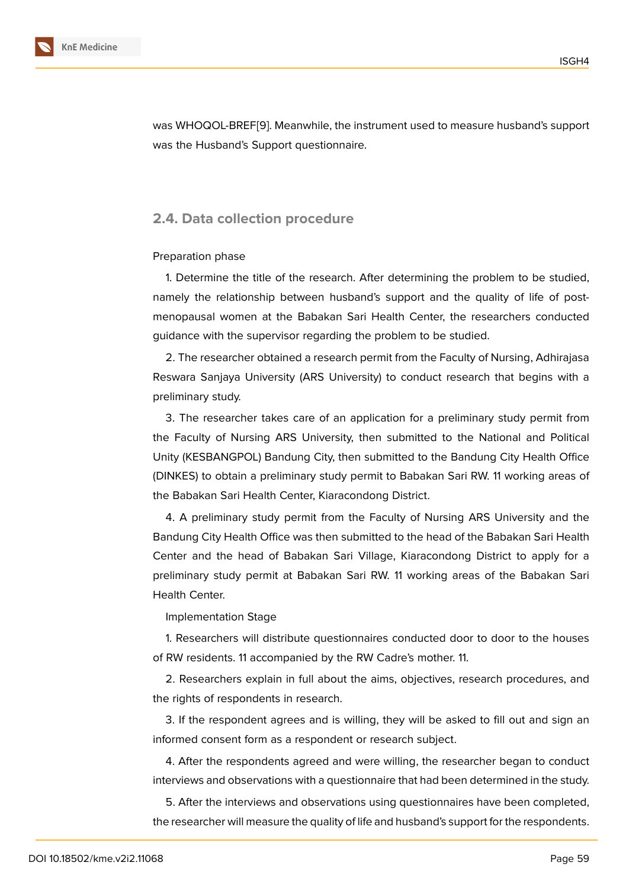was WHOQOL-BREF[9]. Meanwhile, the instrument used to measure husband's support was the Husband's Support questionnaire.

### **2.4. Data collection procedure**

#### Preparation phase

1. Determine the title of the research. After determining the problem to be studied, namely the relationship between husband's support and the quality of life of postmenopausal women at the Babakan Sari Health Center, the researchers conducted guidance with the supervisor regarding the problem to be studied.

2. The researcher obtained a research permit from the Faculty of Nursing, Adhirajasa Reswara Sanjaya University (ARS University) to conduct research that begins with a preliminary study.

3. The researcher takes care of an application for a preliminary study permit from the Faculty of Nursing ARS University, then submitted to the National and Political Unity (KESBANGPOL) Bandung City, then submitted to the Bandung City Health Office (DINKES) to obtain a preliminary study permit to Babakan Sari RW. 11 working areas of the Babakan Sari Health Center, Kiaracondong District.

4. A preliminary study permit from the Faculty of Nursing ARS University and the Bandung City Health Office was then submitted to the head of the Babakan Sari Health Center and the head of Babakan Sari Village, Kiaracondong District to apply for a preliminary study permit at Babakan Sari RW. 11 working areas of the Babakan Sari Health Center.

Implementation Stage

1. Researchers will distribute questionnaires conducted door to door to the houses of RW residents. 11 accompanied by the RW Cadre's mother. 11.

2. Researchers explain in full about the aims, objectives, research procedures, and the rights of respondents in research.

3. If the respondent agrees and is willing, they will be asked to fill out and sign an informed consent form as a respondent or research subject.

4. After the respondents agreed and were willing, the researcher began to conduct interviews and observations with a questionnaire that had been determined in the study.

5. After the interviews and observations using questionnaires have been completed, the researcher will measure the quality of life and husband's support for the respondents.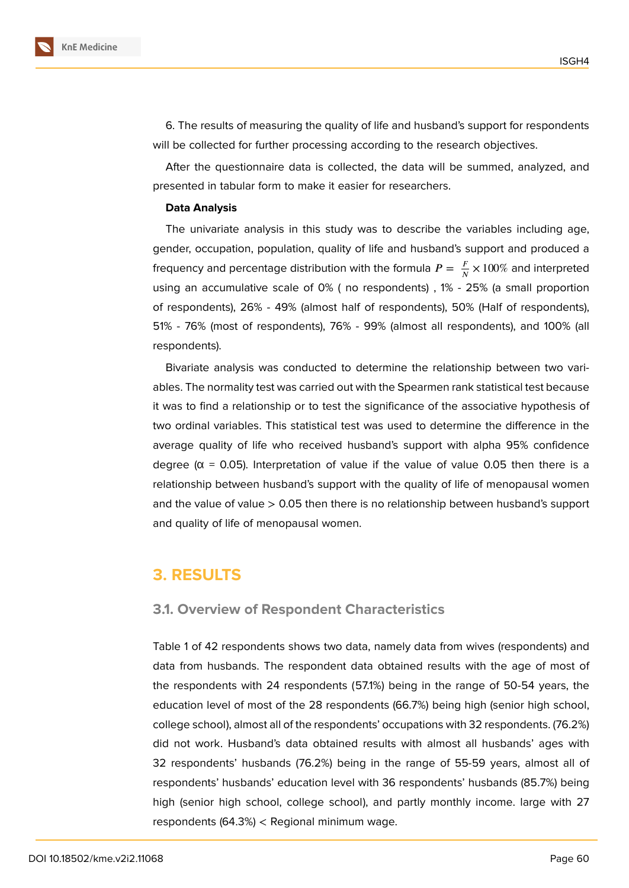

6. The results of measuring the quality of life and husband's support for respondents will be collected for further processing according to the research objectives.

After the questionnaire data is collected, the data will be summed, analyzed, and presented in tabular form to make it easier for researchers.

#### **Data Analysis**

The univariate analysis in this study was to describe the variables including age, gender, occupation, population, quality of life and husband's support and produced a frequency and percentage distribution with the formula  $P = \, \frac{F}{N} \times 100 \%$  and interpreted using an accumulative scale of 0% ( no respondents) , 1% - 25% (a small proportion of respondents), 26% - 49% (almost half of respondents), 50% (Half of respondents), 51% - 76% (most of respondents), 76% - 99% (almost all respondents), and 100% (all respondents).

Bivariate analysis was conducted to determine the relationship between two variables. The normality test was carried out with the Spearmen rank statistical test because it was to find a relationship or to test the significance of the associative hypothesis of two ordinal variables. This statistical test was used to determine the difference in the average quality of life who received husband's support with alpha 95% confidence degree ( $\alpha$  = 0.05). Interpretation of value if the value of value 0.05 then there is a relationship between husband's support with the quality of life of menopausal women and the value of value  $> 0.05$  then there is no relationship between husband's support and quality of life of menopausal women.

### **3. RESULTS**

#### **3.1. Overview of Respondent Characteristics**

Table 1 of 42 respondents shows two data, namely data from wives (respondents) and data from husbands. The respondent data obtained results with the age of most of the respondents with 24 respondents (57.1%) being in the range of 50-54 years, the education level of most of the 28 respondents (66.7%) being high (senior high school, college school), almost all of the respondents' occupations with 32 respondents. (76.2%) did not work. Husband's data obtained results with almost all husbands' ages with 32 respondents' husbands (76.2%) being in the range of 55-59 years, almost all of respondents' husbands' education level with 36 respondents' husbands (85.7%) being high (senior high school, college school), and partly monthly income. large with 27 respondents (64.3%) < Regional minimum wage.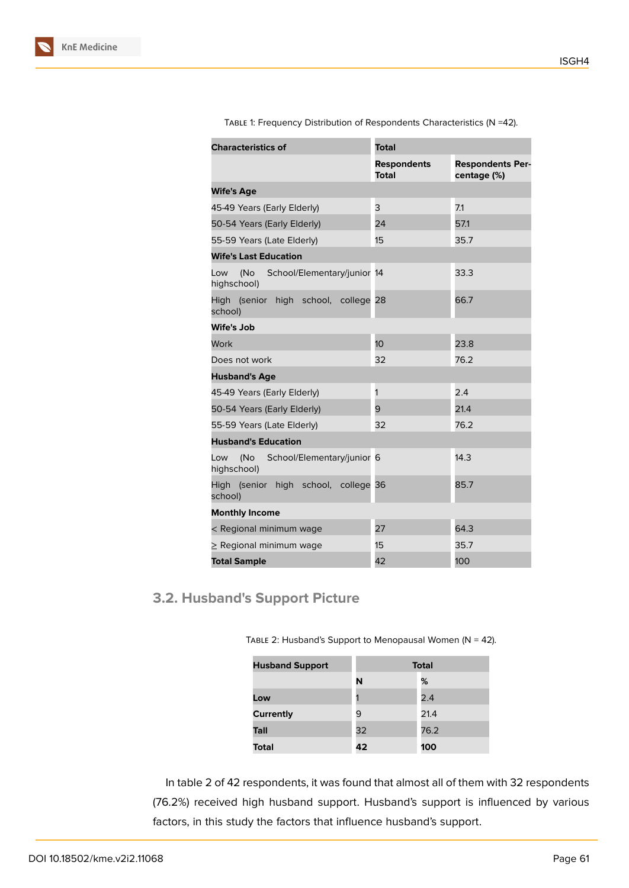| <b>Characteristics of</b>                             | <b>Total</b>                       |                                        |  |  |
|-------------------------------------------------------|------------------------------------|----------------------------------------|--|--|
|                                                       | <b>Respondents</b><br><b>Total</b> | <b>Respondents Per-</b><br>centage (%) |  |  |
| <b>Wife's Age</b>                                     |                                    |                                        |  |  |
| 45-49 Years (Early Elderly)                           | 3                                  | 7.1                                    |  |  |
| 50-54 Years (Early Elderly)                           | 24                                 | 57.1                                   |  |  |
| 55-59 Years (Late Elderly)                            | 15                                 | 35.7                                   |  |  |
| <b>Wife's Last Education</b>                          |                                    |                                        |  |  |
| (No School/Elementary/junior 14<br>Low<br>highschool) |                                    | 33.3                                   |  |  |
| High (senior high school, college 28<br>school)       |                                    | 66.7                                   |  |  |
| <b>Wife's Job</b>                                     |                                    |                                        |  |  |
| Work                                                  | 10 <sup>1</sup>                    | 23.8                                   |  |  |
| Does not work                                         | 32                                 | 76.2                                   |  |  |
| <b>Husband's Age</b>                                  |                                    |                                        |  |  |
| 45-49 Years (Early Elderly)                           | 1                                  | 2.4                                    |  |  |
| 50-54 Years (Early Elderly)                           | 9                                  | 21.4                                   |  |  |
| 55-59 Years (Late Elderly)                            | 32                                 | 76.2                                   |  |  |
| <b>Husband's Education</b>                            |                                    |                                        |  |  |
| (No School/Elementary/junior 6<br>Low<br>highschool)  |                                    | 14.3                                   |  |  |
| High (senior high school, college 36<br>school)       |                                    | 85.7                                   |  |  |
| <b>Monthly Income</b>                                 |                                    |                                        |  |  |
| < Regional minimum wage                               | 27                                 | 64.3                                   |  |  |
| $\geq$ Regional minimum wage                          | 15                                 | 35.7                                   |  |  |
| <b>Total Sample</b>                                   | 42                                 | 100                                    |  |  |

Table 1: Frequency Distribution of Respondents Characteristics (N =42).

# **3.2. Husband's Support Picture**

TABLE 2: Husband's Support to Menopausal Women ( $N = 42$ ).

| <b>Husband Support</b> |    | <b>Total</b> |  |  |  |
|------------------------|----|--------------|--|--|--|
|                        | N  | %            |  |  |  |
| Low                    |    | 2.4          |  |  |  |
| <b>Currently</b>       | 9  | 21.4         |  |  |  |
| Tall                   | 32 | 76.2         |  |  |  |
| <b>Total</b>           | 42 | 100          |  |  |  |

In table 2 of 42 respondents, it was found that almost all of them with 32 respondents (76.2%) received high husband support. Husband's support is influenced by various factors, in this study the factors that influence husband's support.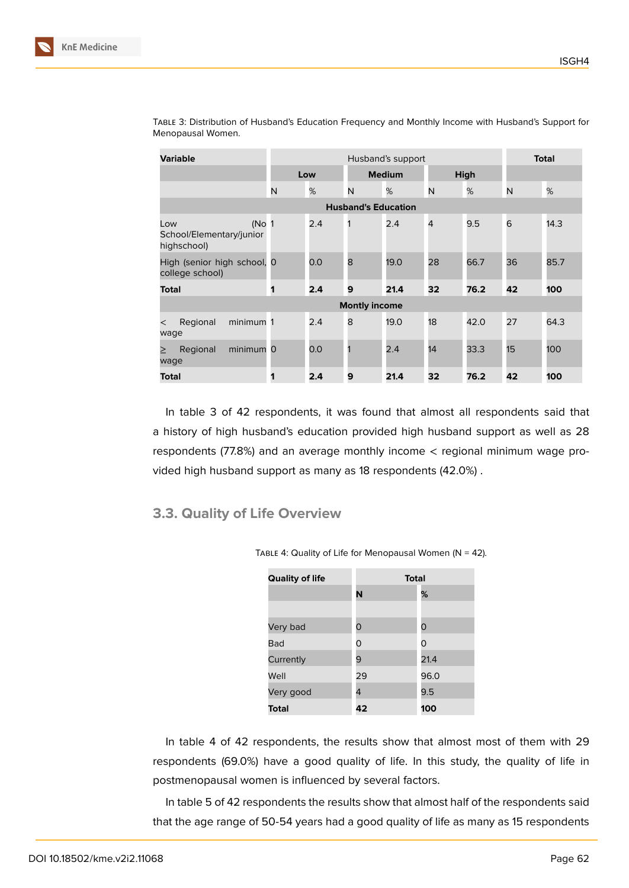| <b>Variable</b>                                                      | Husband's support |     |                            |      |             |      | <b>Total</b> |      |
|----------------------------------------------------------------------|-------------------|-----|----------------------------|------|-------------|------|--------------|------|
|                                                                      | Low               |     | <b>Medium</b>              |      | <b>High</b> |      |              |      |
|                                                                      | N                 | %   | N                          | %    | N           | %    | N            | %    |
|                                                                      |                   |     | <b>Husband's Education</b> |      |             |      |              |      |
| (No <sub>1</sub> )<br>Low<br>School/Elementary/junior<br>highschool) |                   | 2.4 | 1                          | 2.4  | 4           | 9.5  | 6            | 14.3 |
| High (senior high school, 0<br>college school)                       |                   | 0.0 | 8                          | 19.0 | 28          | 66.7 | 36           | 85.7 |
| <b>Total</b>                                                         | 1                 | 2.4 | 9                          | 21.4 | 32          | 76.2 | 42           | 100  |
| <b>Montly income</b>                                                 |                   |     |                            |      |             |      |              |      |
| minimum 1<br>Regional<br>$\,<\,$<br>wage                             |                   | 2.4 | 8                          | 19.0 | 18          | 42.0 | 27           | 64.3 |
| minimum 0<br>Regional<br>⋗<br>wage                                   |                   | 0.0 | 1                          | 2.4  | 14          | 33.3 | 15           | 100  |
| <b>Total</b>                                                         | 1                 | 2.4 | 9                          | 21.4 | 32          | 76.2 | 42           | 100  |

Table 3: Distribution of Husband's Education Frequency and Monthly Income with Husband's Support for Menopausal Women.

In table 3 of 42 respondents, it was found that almost all respondents said that a history of high husband's education provided high husband support as well as 28 respondents (77.8%) and an average monthly income < regional minimum wage provided high husband support as many as 18 respondents (42.0%) .

### **3.3. Quality of Life Overview**

**Quality of life Total N %** Very bad 0 0 Bad 0 0 0 Currently 9 21.4 Well 29 96.0 Very good 4 9.5

TABLE 4: Quality of Life for Menopausal Women ( $N = 42$ ).

In table 4 of 42 respondents, the results show that almost most of them with 29 respondents (69.0%) have a good quality of life. In this study, the quality of life in postmenopausal women is influenced by several factors.

**Total 42 100**

In table 5 of 42 respondents the results show that almost half of the respondents said that the age range of 50-54 years had a good quality of life as many as 15 respondents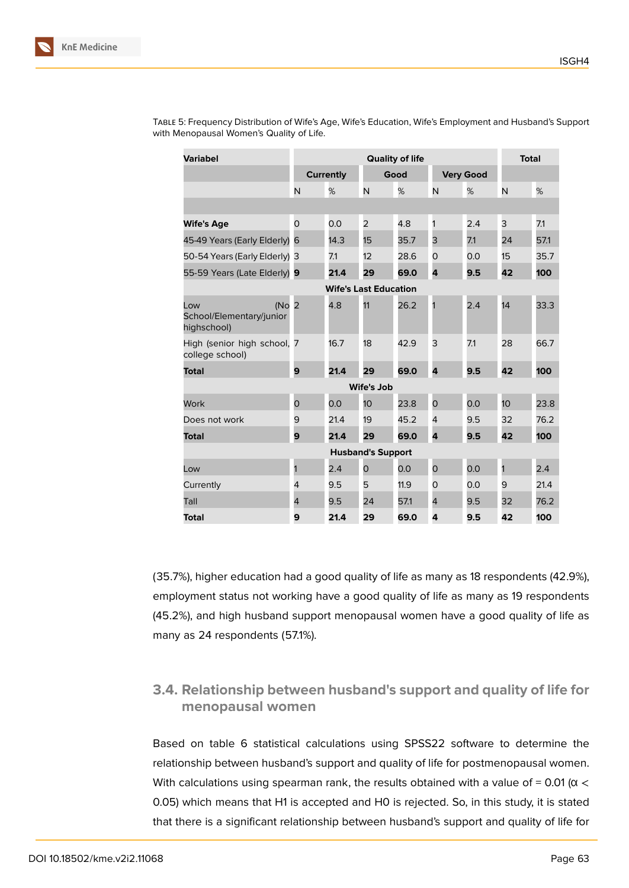| <b>Variabel</b>                                       | <b>Quality of life</b> |                  |                              |      |                | <b>Total</b>     |                 |      |
|-------------------------------------------------------|------------------------|------------------|------------------------------|------|----------------|------------------|-----------------|------|
|                                                       |                        | <b>Currently</b> |                              | Good |                | <b>Very Good</b> |                 |      |
|                                                       | N                      | %                | N                            | %    | N              | %                | N               | %    |
|                                                       |                        |                  |                              |      |                |                  |                 |      |
| <b>Wife's Age</b>                                     | 0                      | 0.0              | $\overline{2}$               | 4.8  | 1              | 2.4              | 3               | 7.1  |
| 45-49 Years (Early Elderly)                           | 6                      | 14.3             | 15                           | 35.7 | 3              | 7.1              | 24              | 57.1 |
| 50-54 Years (Early Elderly) 3                         |                        | 7.1              | 12                           | 28.6 | O              | 0.0              | 15              | 35.7 |
| 55-59 Years (Late Elderly) 9                          |                        | 21.4             | 29                           | 69.0 | 4              | 9.5              | 42              | 100  |
|                                                       |                        |                  | <b>Wife's Last Education</b> |      |                |                  |                 |      |
| (No<br>Low<br>School/Elementary/junior<br>highschool) | $\overline{2}$         | 4.8              | 11                           | 26.2 | 1              | 2.4              | 14              | 33.3 |
| High (senior high school, 7<br>college school)        |                        | 16.7             | 18                           | 42.9 | 3              | 7.1              | 28              | 66.7 |
| <b>Total</b>                                          | 9                      | 21.4             | 29                           | 69.0 | 4              | 9.5              | 42              | 100  |
| <b>Wife's Job</b>                                     |                        |                  |                              |      |                |                  |                 |      |
| Work                                                  | 0                      | 0.0              | 10 <sup>°</sup>              | 23.8 | $\overline{O}$ | 0.0              | 10 <sup>1</sup> | 23.8 |
| Does not work                                         | 9                      | 21.4             | 19                           | 45.2 | $\overline{4}$ | 9.5              | 32              | 76.2 |
| <b>Total</b>                                          | 9                      | 21.4             | 29                           | 69.0 | 4              | 9.5              | 42              | 100  |
| <b>Husband's Support</b>                              |                        |                  |                              |      |                |                  |                 |      |
| Low                                                   | 1                      | 2.4              | $\mathsf{O}$                 | 0.0  | 0              | 0.0              | 1               | 2.4  |
| Currently                                             | 4                      | 9.5              | 5                            | 11.9 | 0              | 0.0              | 9               | 21.4 |
| Tall                                                  | 4                      | 9.5              | 24                           | 57.1 | 4              | 9.5              | 32              | 76.2 |
| <b>Total</b>                                          | 9                      | 21.4             | 29                           | 69.0 | 4              | 9.5              | 42              | 100  |

Table 5: Frequency Distribution of Wife's Age, Wife's Education, Wife's Employment and Husband's Support with Menopausal Women's Quality of Life.

(35.7%), higher education had a good quality of life as many as 18 respondents (42.9%), employment status not working have a good quality of life as many as 19 respondents (45.2%), and high husband support menopausal women have a good quality of life as many as 24 respondents (57.1%).

### **3.4. Relationship between husband's support and quality of life for menopausal women**

Based on table 6 statistical calculations using SPSS22 software to determine the relationship between husband's support and quality of life for postmenopausal women. With calculations using spearman rank, the results obtained with a value of = 0.01 ( $\alpha$  < 0.05) which means that H1 is accepted and H0 is rejected. So, in this study, it is stated that there is a significant relationship between husband's support and quality of life for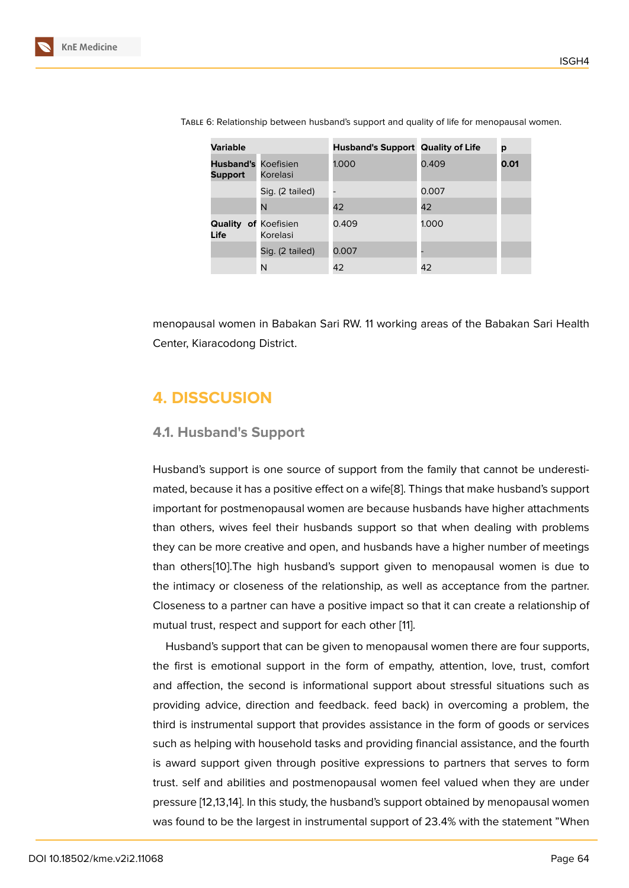| <b>Variable</b>                              |                 | <b>Husband's Support Quality of Life</b> |       | p    |
|----------------------------------------------|-----------------|------------------------------------------|-------|------|
| <b>Husband's Koefisien</b><br><b>Support</b> | Korelasi        | 1.000                                    | 0.409 | 0.01 |
|                                              | Sig. (2 tailed) |                                          | 0.007 |      |
|                                              | N               | 42                                       | 42    |      |
| <b>Quality of Koefisien</b><br>Life          | Korelasi        | 0.409                                    | 1.000 |      |
|                                              | Sig. (2 tailed) | 0.007                                    |       |      |
|                                              | N               | 42                                       | 42    |      |

Table 6: Relationship between husband's support and quality of life for menopausal women.

menopausal women in Babakan Sari RW. 11 working areas of the Babakan Sari Health Center, Kiaracodong District.

# **4. DISSCUSION**

#### **4.1. Husband's Support**

Husband's support is one source of support from the family that cannot be underestimated, because it has a positive effect on a wife[8]. Things that make husband's support important for postmenopausal women are because husbands have higher attachments than others, wives feel their husbands support so that when dealing with problems they can be more creative and open, and husb[an](#page-10-5)ds have a higher number of meetings than others[10].The high husband's support given to menopausal women is due to the intimacy or closeness of the relationship, as well as acceptance from the partner. Closeness to a partner can have a positive impact so that it can create a relationship of mutual trust[, re](#page-11-0)spect and support for each other [11].

Husband's support that can be given to menopausal women there are four supports, the first is emotional support in the form of empathy, attention, love, trust, comfort and affection, the second is informational supp[ort](#page-11-1) about stressful situations such as providing advice, direction and feedback. feed back) in overcoming a problem, the third is instrumental support that provides assistance in the form of goods or services such as helping with household tasks and providing financial assistance, and the fourth is award support given through positive expressions to partners that serves to form trust. self and abilities and postmenopausal women feel valued when they are under pressure [12,13,14]. In this study, the husband's support obtained by menopausal women was found to be the largest in instrumental support of 23.4% with the statement "When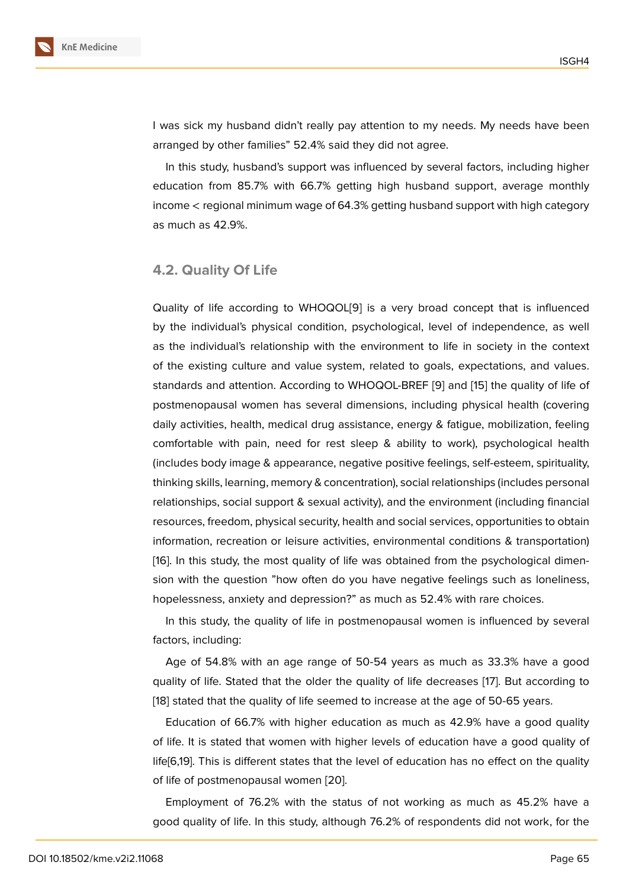I was sick my husband didn't really pay attention to my needs. My needs have been arranged by other families" 52.4% said they did not agree.

In this study, husband's support was influenced by several factors, including higher education from 85.7% with 66.7% getting high husband support, average monthly income  $\lt$  regional minimum wage of 64.3% getting husband support with high category as much as 42.9%.

#### **4.2. Quality Of Life**

Quality of life according to WHOQOL[9] is a very broad concept that is influenced by the individual's physical condition, psychological, level of independence, as well as the individual's relationship with the environment to life in society in the context of the existing culture and value syst[em](#page-10-6), related to goals, expectations, and values. standards and attention. According to WHOQOL-BREF [9] and [15] the quality of life of postmenopausal women has several dimensions, including physical health (covering daily activities, health, medical drug assistance, energy & fatigue, mobilization, feeling comfortable with pain, need for rest sleep & ability [to](#page-10-6) work[\), p](#page-11-2)sychological health (includes body image & appearance, negative positive feelings, self-esteem, spirituality, thinking skills, learning, memory & concentration), social relationships (includes personal relationships, social support & sexual activity), and the environment (including financial resources, freedom, physical security, health and social services, opportunities to obtain information, recreation or leisure activities, environmental conditions & transportation) [16]. In this study, the most quality of life was obtained from the psychological dimension with the question "how often do you have negative feelings such as loneliness, hopelessness, anxiety and depression?" as much as 52.4% with rare choices.

[I](#page-11-3)n this study, the quality of life in postmenopausal women is influenced by several factors, including:

Age of 54.8% with an age range of 50-54 years as much as 33.3% have a good quality of life. Stated that the older the quality of life decreases [17]. But according to [18] stated that the quality of life seemed to increase at the age of 50-65 years.

Education of 66.7% with higher education as much as 42.9% have a good quality of life. It is stated that women with higher levels of education ha[ve](#page-11-4) a good quality of l[ife](#page-11-5)[6,19]. This is different states that the level of education has no effect on the quality of life of postmenopausal women [20].

Employment of 76.2% with the status of not working as much as 45.2% have a good quality of life. In this study, a[ltho](#page-11-6)ugh 76.2% of respondents did not work, for the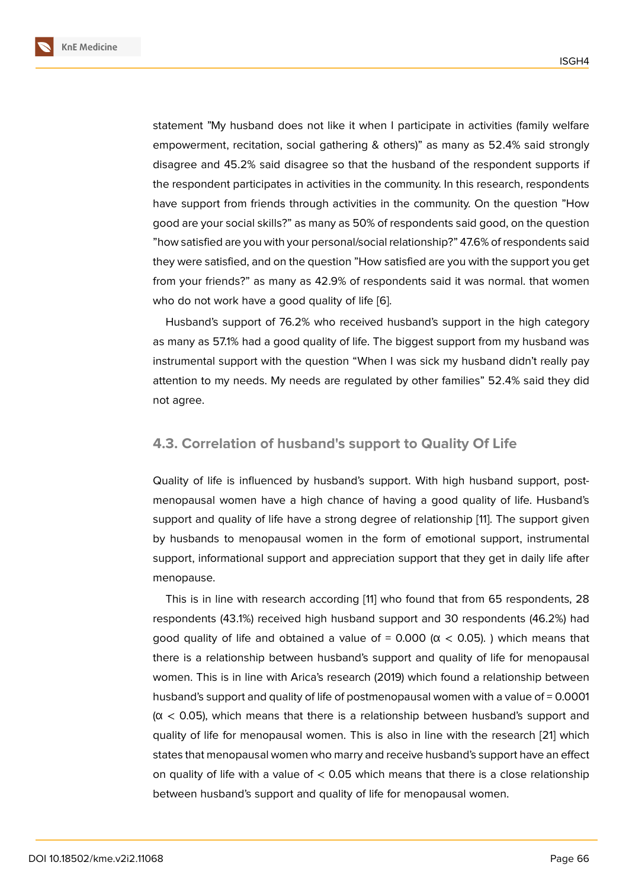statement "My husband does not like it when I participate in activities (family welfare empowerment, recitation, social gathering & others)" as many as 52.4% said strongly disagree and 45.2% said disagree so that the husband of the respondent supports if the respondent participates in activities in the community. In this research, respondents have support from friends through activities in the community. On the question "How good are your social skills?" as many as 50% of respondents said good, on the question "how satisfied are you with your personal/social relationship?" 47.6% of respondents said they were satisfied, and on the question "How satisfied are you with the support you get from your friends?" as many as 42.9% of respondents said it was normal. that women who do not work have a good quality of life [6].

Husband's support of 76.2% who received husband's support in the high category as many as 57.1% had a good quality of life. The biggest support from my husband was instrumental support with the question "Wh[en](#page-10-7) I was sick my husband didn't really pay attention to my needs. My needs are regulated by other families" 52.4% said they did not agree.

### **4.3. Correlation of husband's support to Quality Of Life**

Quality of life is influenced by husband's support. With high husband support, postmenopausal women have a high chance of having a good quality of life. Husband's support and quality of life have a strong degree of relationship [11]. The support given by husbands to menopausal women in the form of emotional support, instrumental support, informational support and appreciation support that they get in daily life after menopause.

This is in line with research according [11] who found that from 65 respondents, 28 respondents (43.1%) received high husband support and 30 respondents (46.2%) had good quality of life and obtained a value of =  $0.000$  (α < 0.05). ) which means that there is a relationship between husband'[s s](#page-11-1)upport and quality of life for menopausal women. This is in line with Arica's research (2019) which found a relationship between husband's support and quality of life of postmenopausal women with a value of = 0.0001  $(\alpha$  < 0.05), which means that there is a relationship between husband's support and quality of life for menopausal women. This is also in line with the research [21] which states that menopausal women who marry and receive husband's support have an effect on quality of life with a value of  $< 0.05$  which means that there is a close relationship between husband's support and quality of life for menopausal women.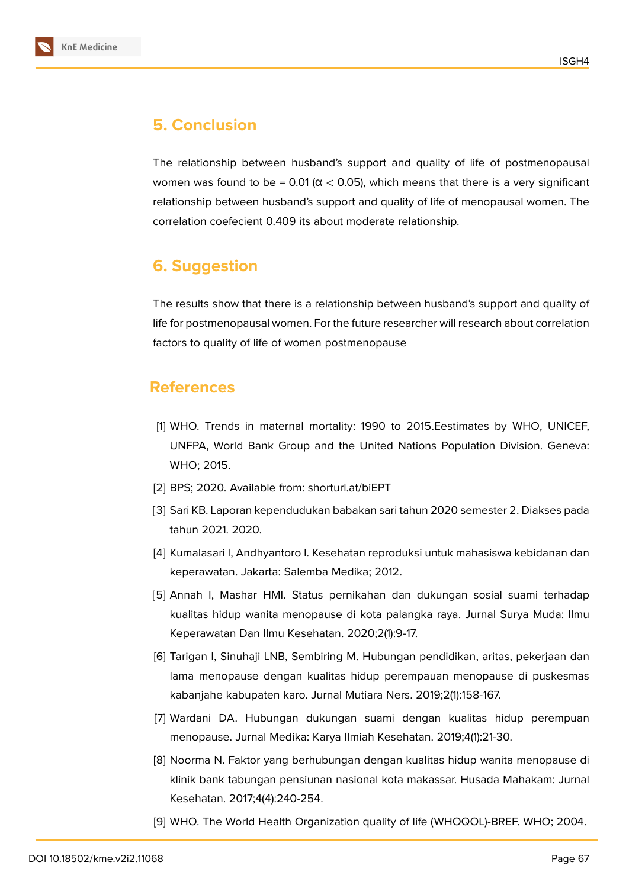# **5. Conclusion**

The relationship between husband's support and quality of life of postmenopausal women was found to be = 0.01 ( $\alpha$  < 0.05), which means that there is a very significant relationship between husband's support and quality of life of menopausal women. The correlation coefecient 0.409 its about moderate relationship.

# **6. Suggestion**

The results show that there is a relationship between husband's support and quality of life for postmenopausal women. For the future researcher will research about correlation factors to quality of life of women postmenopause

### **References**

- [1] WHO. Trends in maternal mortality: 1990 to 2015.Eestimates by WHO, UNICEF, UNFPA, World Bank Group and the United Nations Population Division. Geneva: WHO; 2015.
- <span id="page-10-0"></span>[2] BPS; 2020. Available from: shorturl.at/biEPT
- [3] Sari KB. Laporan kependudukan babakan sari tahun 2020 semester 2. Diakses pada tahun 2021. 2020.
- <span id="page-10-1"></span>[4] Kumalasari I, Andhyantoro I. Kesehatan reproduksi untuk mahasiswa kebidanan dan keperawatan. Jakarta: Salemba Medika; 2012.
- <span id="page-10-2"></span>[5] Annah I, Mashar HMI. Status pernikahan dan dukungan sosial suami terhadap kualitas hidup wanita menopause di kota palangka raya. Jurnal Surya Muda: Ilmu Keperawatan Dan Ilmu Kesehatan. 2020;2(1):9-17.
- <span id="page-10-3"></span>[6] Tarigan I, Sinuhaji LNB, Sembiring M. Hubungan pendidikan, aritas, pekerjaan dan lama menopause dengan kualitas hidup perempauan menopause di puskesmas kabanjahe kabupaten karo. Jurnal Mutiara Ners. 2019;2(1):158-167.
- <span id="page-10-7"></span>[7] Wardani DA. Hubungan dukungan suami dengan kualitas hidup perempuan menopause. Jurnal Medika: Karya Ilmiah Kesehatan. 2019;4(1):21-30.
- <span id="page-10-4"></span>[8] Noorma N. Faktor yang berhubungan dengan kualitas hidup wanita menopause di klinik bank tabungan pensiunan nasional kota makassar. Husada Mahakam: Jurnal Kesehatan. 2017;4(4):240-254.
- <span id="page-10-6"></span><span id="page-10-5"></span>[9] WHO. The World Health Organization quality of life (WHOQOL)-BREF. WHO; 2004.